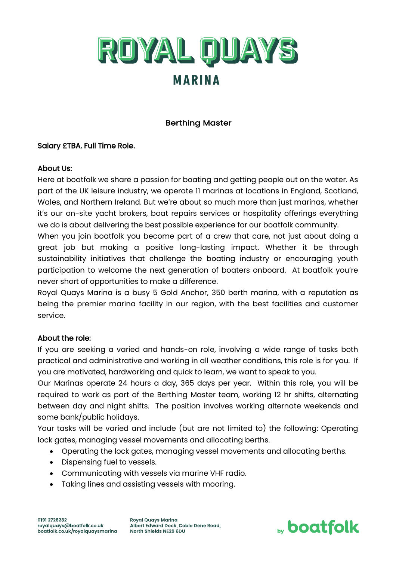

# Berthing Master

### Salary £TBA. Full Time Role.

### About Us:

Here at boatfolk we share a passion for boating and getting people out on the water. As part of the UK leisure industry, we operate 11 marinas at locations in England, Scotland, Wales, and Northern Ireland. But we're about so much more than just marinas, whether it's our on-site yacht brokers, boat repairs services or hospitality offerings everything we do is about delivering the best possible experience for our boatfolk community.

When you join boatfolk you become part of a crew that care, not just about doing a great job but making a positive long-lasting impact. Whether it be through sustainability initiatives that challenge the boating industry or encouraging youth participation to welcome the next generation of boaters onboard. At boatfolk you're never short of opportunities to make a difference.

Royal Quays Marina is a busy 5 Gold Anchor, 350 berth marina, with a reputation as being the premier marina facility in our region, with the best facilities and customer service.

#### About the role:

If you are seeking a varied and hands-on role, involving a wide range of tasks both practical and administrative and working in all weather conditions, this role is for you. If you are motivated, hardworking and quick to learn, we want to speak to you.

Our Marinas operate 24 hours a day, 365 days per year. Within this role, you will be required to work as part of the Berthing Master team, working 12 hr shifts, alternating between day and night shifts. The position involves working alternate weekends and some bank/public holidays.

Your tasks will be varied and include (but are not limited to) the following: Operating lock gates, managing vessel movements and allocating berths.

- Operating the lock gates, managing vessel movements and allocating berths.
- Dispensing fuel to vessels.
- Communicating with vessels via marine VHF radio.
- Taking lines and assisting vessels with mooring.

**Royal Quays Marina** Albert Edward Dock, Coble Dene Road, North Shields NE29 6DU